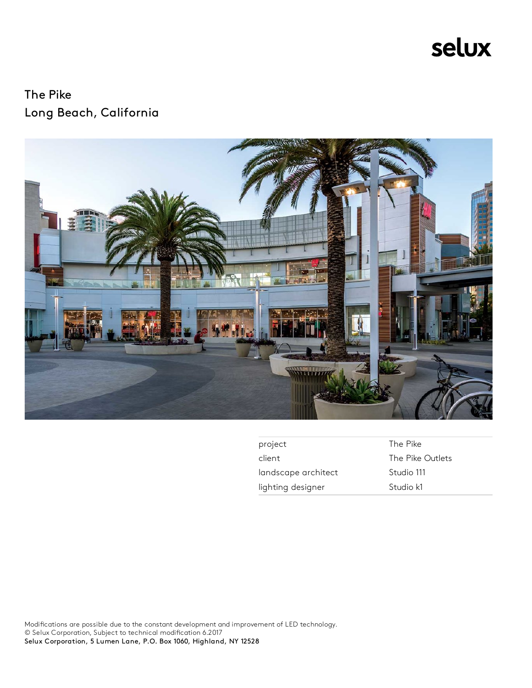### The Pike Long Beach, California



| project             | The Pike         |
|---------------------|------------------|
| client              | The Pike Outlets |
| landscape architect | Studio 111       |
| lighting designer   | Studio k1        |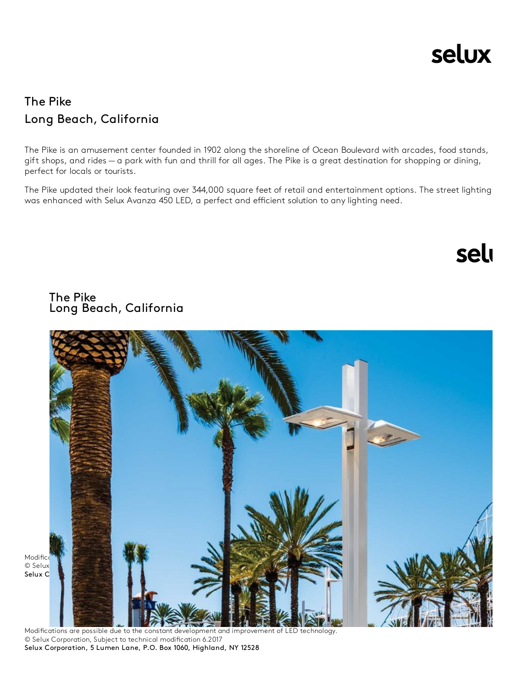### The Pike Long Beach, California

The Pike is an amusement center founded in 1902 along the shoreline of Ocean Boulevard with arcades, food stands, gift shops, and rides — a park with fun and thrill for all ages. The Pike is a great destination for shopping or dining, perfect for locals or tourists.

The Pike updated their look featuring over 344,000 square feet of retail and entertainment options. The street lighting was enhanced with Selux Avanza 450 LED, a perfect and efficient solution to any lighting need.

sel





Modications are possible due to the constant development and improvement of LED technology. © Selux Corporation, Subject to technical modification 6.2017 Selux Corporation, 5 Lumen Lane, P.O. Box 1060, Highland, NY 12528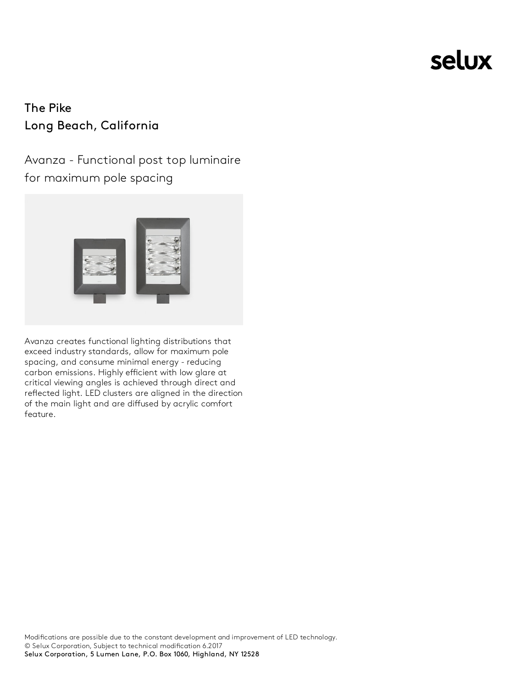### The Pike Long Beach, California

Avanza - Functional post top luminaire for maximum pole spacing



Avanza creates functional lighting distributions that exceed industry standards, allow for maximum pole spacing, and consume minimal energy - reducing carbon emissions. Highly efficient with low glare at critical viewing angles is achieved through direct and reflected light. LED clusters are aligned in the direction of the main light and are diffused by acrylic comfort feature.